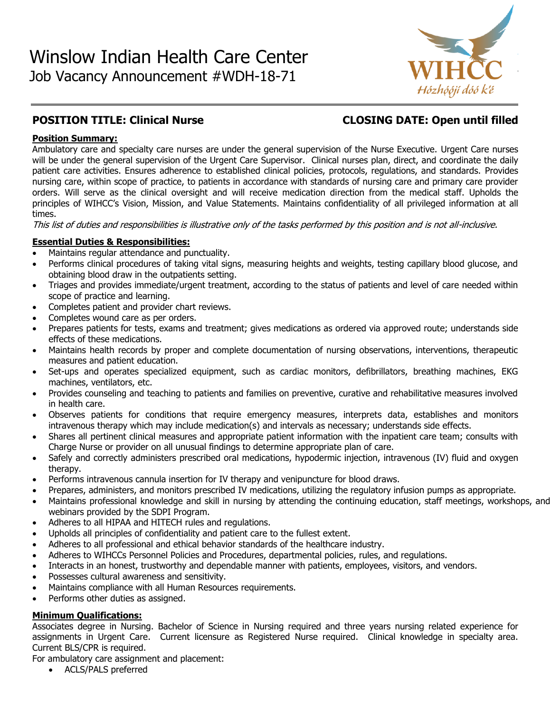

# **POSITION TITLE: Clinical Nurse CLOSING DATE: Open until filled**

# **Position Summary:**

Ambulatory care and specialty care nurses are under the general supervision of the Nurse Executive. Urgent Care nurses will be under the general supervision of the Urgent Care Supervisor. Clinical nurses plan, direct, and coordinate the daily patient care activities. Ensures adherence to established clinical policies, protocols, regulations, and standards. Provides nursing care, within scope of practice, to patients in accordance with standards of nursing care and primary care provider orders. Will serve as the clinical oversight and will receive medication direction from the medical staff. Upholds the principles of WIHCC's Vision, Mission, and Value Statements. Maintains confidentiality of all privileged information at all times.

This list of duties and responsibilities is illustrative only of the tasks performed by this position and is not all-inclusive.

# **Essential Duties & Responsibilities:**

- Maintains regular attendance and punctuality.
- Performs clinical procedures of taking vital signs, measuring heights and weights, testing capillary blood glucose, and obtaining blood draw in the outpatients setting.
- Triages and provides immediate/urgent treatment, according to the status of patients and level of care needed within scope of practice and learning.
- Completes patient and provider chart reviews.
- Completes wound care as per orders.
- Prepares patients for tests, exams and treatment; gives medications as ordered via approved route; understands side effects of these medications.
- Maintains health records by proper and complete documentation of nursing observations, interventions, therapeutic measures and patient education.
- Set-ups and operates specialized equipment, such as cardiac monitors, defibrillators, breathing machines, EKG machines, ventilators, etc.
- Provides counseling and teaching to patients and families on preventive, curative and rehabilitative measures involved in health care.
- Observes patients for conditions that require emergency measures, interprets data, establishes and monitors intravenous therapy which may include medication(s) and intervals as necessary; understands side effects.
- Shares all pertinent clinical measures and appropriate patient information with the inpatient care team; consults with Charge Nurse or provider on all unusual findings to determine appropriate plan of care.
- Safely and correctly administers prescribed oral medications, hypodermic injection, intravenous (IV) fluid and oxygen therapy.
- Performs intravenous cannula insertion for IV therapy and venipuncture for blood draws.
- Prepares, administers, and monitors prescribed IV medications, utilizing the regulatory infusion pumps as appropriate.
- Maintains professional knowledge and skill in nursing by attending the continuing education, staff meetings, workshops, and webinars provided by the SDPI Program.
- Adheres to all HIPAA and HITECH rules and regulations.
- Upholds all principles of confidentiality and patient care to the fullest extent.
- Adheres to all professional and ethical behavior standards of the healthcare industry.
- Adheres to WIHCCs Personnel Policies and Procedures, departmental policies, rules, and regulations.
- Interacts in an honest, trustworthy and dependable manner with patients, employees, visitors, and vendors.
- Possesses cultural awareness and sensitivity.
- Maintains compliance with all Human Resources requirements.
- Performs other duties as assigned.

# **Minimum Qualifications:**

Associates degree in Nursing. Bachelor of Science in Nursing required and three years nursing related experience for assignments in Urgent Care. Current licensure as Registered Nurse required. Clinical knowledge in specialty area. Current BLS/CPR is required.

For ambulatory care assignment and placement:

• ACLS/PALS preferred